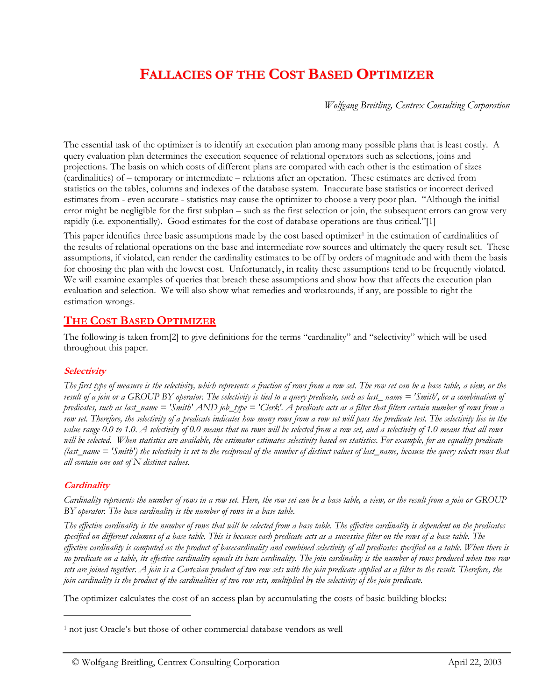# **FALLACIES OF THE COST BASED OPTIMIZER**

*Wolfgang Breitling, Centrex Consulting Corporation*

The essential task of the optimizer is to identify an execution plan among many possible plans that is least costly. A query evaluation plan determines the execution sequence of relational operators such as selections, joins and projections. The basis on which costs of different plans are compared with each other is the estimation of sizes (cardinalities) of – temporary or intermediate – relations after an operation. These estimates are derived from statistics on the tables, columns and indexes of the database system. Inaccurate base statistics or incorrect derived estimates from - even accurate - statistics may cause the optimizer to choose a very poor plan. "Although the initial error might be negligible for the first subplan – such as the first selection or join, the subsequent errors can grow very rapidly (i.e. exponentially). Good estimates for the cost of database operations are thus critical."[1]

This paper identifies three basic assumptions made by the cost based optimizer<sup>1</sup> in the estimation of cardinalities of the results of relational operations on the base and intermediate row sources and ultimately the query result set. These assumptions, if violated, can render the cardinality estimates to be off by orders of magnitude and with them the basis for choosing the plan with the lowest cost. Unfortunately, in reality these assumptions tend to be frequently violated. We will examine examples of queries that breach these assumptions and show how that affects the execution plan evaluation and selection. We will also show what remedies and workarounds, if any, are possible to right the estimation wrongs.

# **THE COST BASED OPTIMIZER**

The following is taken from[2] to give definitions for the terms "cardinality" and "selectivity" which will be used throughout this paper.

## <span id="page-0-1"></span>**Selectivity**

*The first type of measure is the selectivity, which represents a fraction of rows from a row set. The row set can be a base table, a view, or the result of a join or a GROUP BY operator. The selectivity is tied to a query predicate, such as last name = 'Smith', or a combination of predicates, such as last\_name = 'Smith' AND job\_type = 'Clerk'. A predicate acts as a filter that filters certain number of rows from a row set. Therefore, the selectivity of a predicate indicates how many rows from a row set will pass the predicate test. The selectivity lies in the value range 0.0 to 1.0. A selectivity of 0.0 means that no rows will be selected from a row set, and a selectivity of 1.0 means that all rows will be selected. When statistics are available, the estimator estimates selectivity based on statistics. For example, for an equality predicate (last\_name = 'Smith') the selectivity is set to the reciprocal of the number of distinct values of last\_name, because the query selects rows that all contain one out of N distinct values.*

## **Cardinality**

 $\ddot{\phantom{a}}$ 

*Cardinality represents the number of rows in a row set. Here, the row set can be a base table, a view, or the result from a join or GROUP BY operator. The base cardinality is the number of rows in a base table.*

*The effective cardinality is the number of rows that will be selected from a base table. The effective cardinality is dependent on the predicates specified on different columns of a base table. This is because each predicate acts as a successive filter on the rows of a base table. The effective cardinality is computed as the product of basecardinality and combined selectivity of all predicates specified on a table. When there is no predicate on a table, its effective cardinality equals its base cardinality. The join cardinality is the number of rows produced when two row sets are joined together. A join is a Cartesian product of two row sets with the join predicate applied as a filter to the result. Therefore, the join cardinality is the product of the cardinalities of two row sets, multiplied by the selectivity of the join predicate.*

The optimizer calculates the cost of an access plan by accumulating the costs of basic building blocks:

<span id="page-0-0"></span><sup>&</sup>lt;sup>1</sup> not just Oracle's but those of other commercial database vendors as well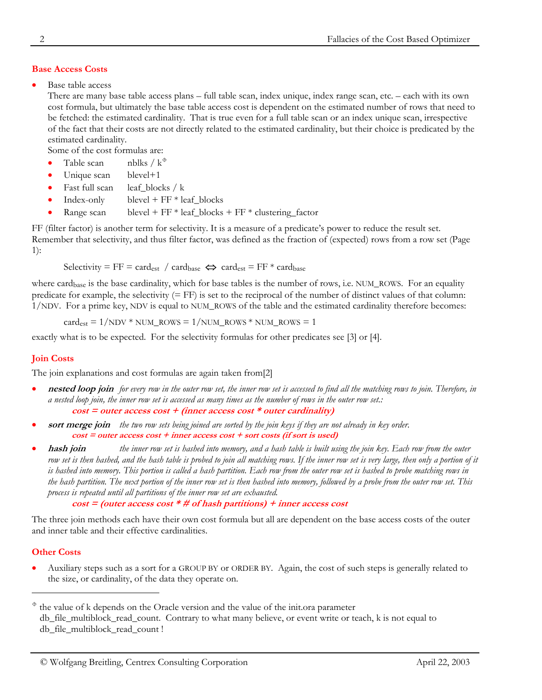# **Base Access Costs**

Base table access

There are many base table access plans – full table scan, index unique, index range scan, etc. – each with its own cost formula, but ultimately the base table access cost is dependent on the estimated number of rows that need to be fetched: the estimated cardinality. That is true even for a full table scan or an index unique scan, irrespective of the fact that their costs are not directly related to the estimated cardinality, but their choice is predicated by the estimated cardinality.

Some of the cost formulas are:

- Table scan nblks /  $k^{\circ}$
- Unique scan blevel+1
- Fast full scan leaf\_blocks / k
- $Index-only \tblevel + FF * leaf\_blocks$
- Range scan blevel +  $FF * leaf\_blocks + FF * clustering\_factor$

FF (filter factor) is another term for selectivity. It is a measure of a predicate's power to reduce the result set. Remember that selectivity, and thus filter factor, was defined as the fraction of (expected) rows from a row set (Page [1\)](#page-0-1):

Selectivity = FF = cardest / cardbase  $\Leftrightarrow$  cardest = FF \* cardbase

where cardb<sub>ase</sub> is the base cardinality, which for base tables is the number of rows, i.e. NUM\_ROWS. For an equality predicate for example, the selectivity  $(= FF)$  is set to the reciprocal of the number of distinct values of that column: 1/NDV. For a prime key, NDV is equal to NUM\_ROWS of the table and the estimated cardinality therefore becomes:

 $card_{est} = 1/NDV * NUM$  ROWS = 1/NUM\_ROWS \* NUM\_ROWS = 1

exactly what is to be expected. For the selectivity formulas for other predicates see [3] or [4].

# **Join Costs**

The join explanations and cost formulas are again taken from<sup>[2]</sup>

- **nested loop join** *for every row in the outer row set, the inner row set is accessed to find all the matching rows to join. Therefore, in a nested loop join, the inner row set is accessed as many times as the number of rows in the outer row set.:* **cost = outer access cost + (inner access cost \* outer cardinality)**
- **sort merge join** *the two row sets being joined are sorted by the join keys if they are not already in key order.* **cost = outer access cost + inner access cost + sort costs (if sort is used)**
- **hash join** *the inner row set is hashed into memory, and a hash table is built using the join key. Each row from the outer row set is then hashed, and the hash table is probed to join all matching rows. If the inner row set is very large, then only a portion of it is hashed into memory. This portion is called a hash partition. Each row from the outer row set is hashed to probe matching rows in the hash partition. The next portion of the inner row set is then hashed into memory, followed by a probe from the outer row set. This process is repeated until all partitions of the inner row set are exhausted.*

```
cost = (outer access cost * # of hash partitions) + inner access cost
```
The three join methods each have their own cost formula but all are dependent on the base access costs of the outer and inner table and their effective cardinalities.

## **Other Costs**

 $\ddot{\phantom{a}}$ 

• Auxiliary steps such as a sort for a GROUP BY or ORDER BY. Again, the cost of such steps is generally related to the size, or cardinality, of the data they operate on.

<span id="page-1-0"></span> $*$  the value of k depends on the Oracle version and the value of the init.ora parameter db\_file\_multiblock\_read\_count. Contrary to what many believe, or event write or teach, k is not equal to db\_file\_multiblock\_read\_count !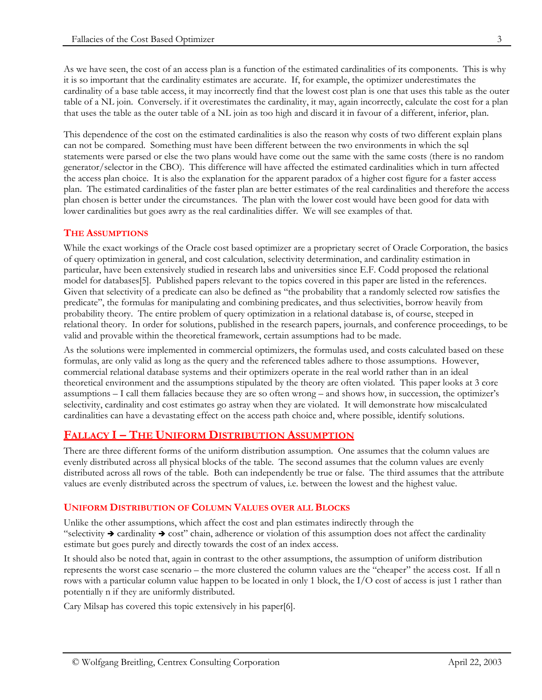As we have seen, the cost of an access plan is a function of the estimated cardinalities of its components. This is why it is so important that the cardinality estimates are accurate. If, for example, the optimizer underestimates the cardinality of a base table access, it may incorrectly find that the lowest cost plan is one that uses this table as the outer table of a NL join. Conversely. if it overestimates the cardinality, it may, again incorrectly, calculate the cost for a plan that uses the table as the outer table of a NL join as too high and discard it in favour of a different, inferior, plan.

This dependence of the cost on the estimated cardinalities is also the reason why costs of two different explain plans can not be compared. Something must have been different between the two environments in which the sql statements were parsed or else the two plans would have come out the same with the same costs (there is no random generator/selector in the CBO). This difference will have affected the estimated cardinalities which in turn affected the access plan choice. It is also the explanation for the apparent paradox of a higher cost figure for a faster access plan. The estimated cardinalities of the faster plan are better estimates of the real cardinalities and therefore the access plan chosen is better under the circumstances. The plan with the lower cost would have been good for data with lower cardinalities but goes awry as the real cardinalities differ. We will see examples of that.

# **THE ASSUMPTIONS**

While the exact workings of the Oracle cost based optimizer are a proprietary secret of Oracle Corporation, the basics of query optimization in general, and cost calculation, selectivity determination, and cardinality estimation in particular, have been extensively studied in research labs and universities since E.F. Codd proposed the relational model for databases[5]. Published papers relevant to the topics covered in this paper are listed in the references. Given that selectivity of a predicate can also be defined as "the probability that a randomly selected row satisfies the predicate", the formulas for manipulating and combining predicates, and thus selectivities, borrow heavily from probability theory. The entire problem of query optimization in a relational database is, of course, steeped in relational theory. In order for solutions, published in the research papers, journals, and conference proceedings, to be valid and provable within the theoretical framework, certain assumptions had to be made.

As the solutions were implemented in commercial optimizers, the formulas used, and costs calculated based on these formulas, are only valid as long as the query and the referenced tables adhere to those assumptions. However, commercial relational database systems and their optimizers operate in the real world rather than in an ideal theoretical environment and the assumptions stipulated by the theory are often violated. This paper looks at 3 core assumptions – I call them fallacies because they are so often wrong – and shows how, in succession, the optimizer's selectivity, cardinality and cost estimates go astray when they are violated. It will demonstrate how miscalculated cardinalities can have a devastating effect on the access path choice and, where possible, identify solutions.

# **FALLACY I – THE UNIFORM DISTRIBUTION ASSUMPTION**

There are three different forms of the uniform distribution assumption. One assumes that the column values are evenly distributed across all physical blocks of the table. The second assumes that the column values are evenly distributed across all rows of the table. Both can independently be true or false. The third assumes that the attribute values are evenly distributed across the spectrum of values, i.e. between the lowest and the highest value.

# **UNIFORM DISTRIBUTION OF COLUMN VALUES OVER ALL BLOCKS**

Unlike the other assumptions, which affect the cost and plan estimates indirectly through the "selectivity  $\rightarrow$  cardinality  $\rightarrow$  cost" chain, adherence or violation of this assumption does not affect the cardinality estimate but goes purely and directly towards the cost of an index access.

It should also be noted that, again in contrast to the other assumptions, the assumption of uniform distribution represents the worst case scenario – the more clustered the column values are the "cheaper" the access cost. If all n rows with a particular column value happen to be located in only 1 block, the I/O cost of access is just 1 rather than potentially n if they are uniformly distributed.

Cary Milsap has covered this topic extensively in his paper[6].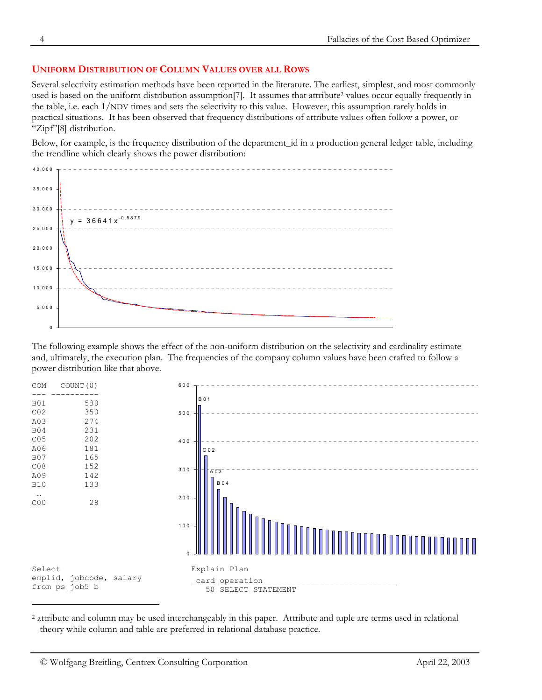## **UNIFORM DISTRIBUTION OF COLUMN VALUES OVER ALL ROWS**

Several selectivity estimation methods have been reported in the literature. The earliest, simplest, and most commonly used is based on the uniform distribution assumption<sup>[7]</sup>. It assumes that attribute<sup>2</sup> values occur equally frequently in the table, i.e. each 1/NDV times and sets the selectivity to this value. However, this assumption rarely holds in practical situations. It has been observed that frequency distributions of attribute values often follow a power, or "Zipf"[8] distribution.

Below, for example, is the frequency distribution of the department\_id in a production general ledger table, including the trendline which clearly shows the power distribution:



The following example shows the effect of the non-uniform distribution on the selectivity and cardinality estimate and, ultimately, the execution plan. The frequencies of the company column values have been crafted to follow a power distribution like that above.



<span id="page-3-1"></span><span id="page-3-0"></span><sup>2</sup> attribute and column may be used interchangeably in this paper. Attribute and tuple are terms used in relational theory while column and table are preferred in relational database practice.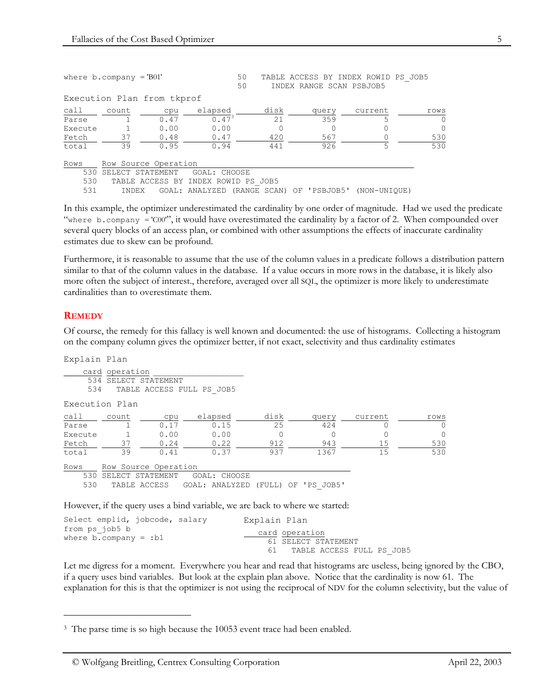|                   | where $b$ . company = 'B01' |                                                         |                                                          |  |      | TABLE ACCESS BY INDEX ROWID PS JOB5<br>INDEX RANGE SCAN PSBJOB5 |     |              |          |
|-------------------|-----------------------------|---------------------------------------------------------|----------------------------------------------------------|--|------|-----------------------------------------------------------------|-----|--------------|----------|
|                   |                             | Execution Plan from tkprof                              |                                                          |  |      |                                                                 |     |              |          |
| call              | count                       | cpu                                                     | elapsed                                                  |  | disk | query                                                           |     | current      | rows     |
| Parse             |                             | 0.47                                                    | $0.47^{3}$                                               |  | 21   |                                                                 | 359 | 5            | $\Omega$ |
| Execute           |                             | 0.00                                                    | 0.00                                                     |  | 0    |                                                                 | 0   |              | $\Omega$ |
| Fetch             | 37                          | 0.48                                                    | 0.47                                                     |  | 420  |                                                                 | 567 |              | 530      |
| total             | 39                          | 0.95                                                    | 0.94                                                     |  | 441  |                                                                 | 926 | 5            | 530      |
| Rows              |                             | Row Source Operation                                    |                                                          |  |      |                                                                 |     |              |          |
| 530<br>530<br>531 | INDEX                       | SELECT STATEMENT<br>TABLE ACCESS BY INDEX ROWID PS JOB5 | GOAL: CHOOSE<br>GOAL: ANALYZED (RANGE SCAN) OF 'PSBJOB5' |  |      |                                                                 |     | (NON-UNIOUE) |          |

In this example, the optimizer underestimated the cardinality by one order of magnitude. Had we used the predicate "where b.company = 'C00", it would have overestimated the cardinality by a factor of 2. When compounded over several query blocks of an access plan, or combined with other assumptions the effects of inaccurate cardinality estimates due to skew can be profound.

Furthermore, it is reasonable to assume that the use of the column values in a predicate follows a distribution pattern similar to that of the column values in the database. If a value occurs in more rows in the database, it is likely also more often the subject of interest., therefore, averaged over all SQL, the optimizer is more likely to underestimate cardinalities than to overestimate them.

## **REMEDY**

 $\ddot{\phantom{a}}$ 

Of course, the remedy for this fallacy is well known and documented: the use of histograms. Collecting a histogram on the company column gives the optimizer better, if not exact, selectivity and thus cardinality estimates

| Explain Plan   |                                        |                      |                                                                              |          |       |         |          |
|----------------|----------------------------------------|----------------------|------------------------------------------------------------------------------|----------|-------|---------|----------|
| 534            | card operation<br>534 SELECT STATEMENT |                      | TABLE ACCESS FULL PS JOB5                                                    |          |       |         |          |
| Execution Plan |                                        |                      |                                                                              |          |       |         |          |
| call           | count                                  | cpu                  | elapsed                                                                      | disk     | query | current | rows     |
| Parse          |                                        | 0.17                 | 0.15                                                                         | 25       | 424   |         | $\Omega$ |
| Execute        |                                        | 0.00                 | 0.00                                                                         | $\Omega$ |       | Ω       | $\Omega$ |
| Fetch          | 37                                     | 0.24                 | 0.22                                                                         | 912      | 943   | 15      | 530      |
| total          | 39                                     | 0.41                 | 0.37                                                                         | 937      | 1367  | 15      | 530      |
| Rows           |                                        | Row Source Operation |                                                                              |          |       |         |          |
| 530            | SELECT STATEMENT                       |                      | GOAL: CHOOSE                                                                 |          |       |         |          |
| 530            |                                        |                      | TABLE ACCESS GOAL: ANALYZED (FULL) OF 'PS JOB5'                              |          |       |         |          |
|                |                                        |                      | However, if the query uses a bind variable, we are back to where we started: |          |       |         |          |

| Select emplid, jobcode, salary                | Explain Plan                          |
|-----------------------------------------------|---------------------------------------|
| from ps job5 b<br>where $b$ .company = : $b1$ | card operation<br>61 SELECT STATEMENT |
|                                               | TABLE ACCESS FULL PS JOB5<br>61.      |

Let me digress for a moment. Everywhere you hear and read that histograms are useless, being ignored by the CBO, if a query uses bind variables. But look at the explain plan above. Notice that the cardinality is now 61. The explanation for this is that the optimizer is not using the reciprocal of NDV for the column selectivity, but the value of

<span id="page-4-0"></span><sup>&</sup>lt;sup>3</sup> The parse time is so high because the 10053 event trace had been enabled.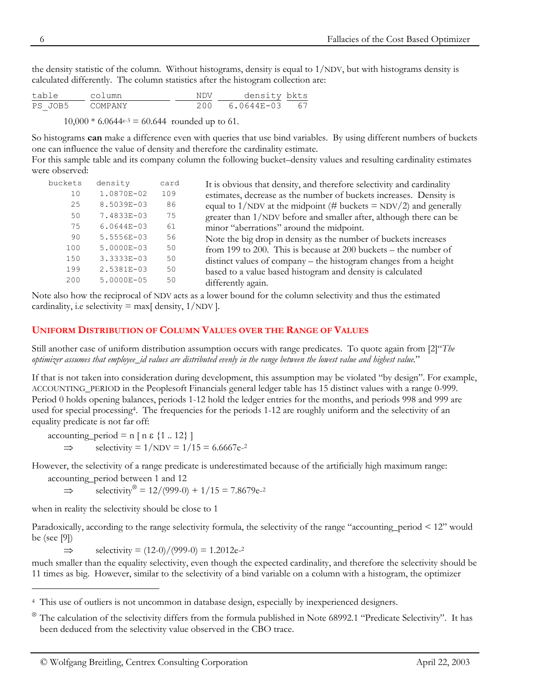the density statistic of the column. Without histograms, density is equal to  $1/NDV$ , but with histograms density is calculated differently. The column statistics after the histogram collection are:

| table   | column  | <b>NDV</b> | density bkts |    |
|---------|---------|------------|--------------|----|
| PS JOB5 | COMPANY | 200        | 6.0644E-03   | 67 |

 $10,000 * 6.0644e^{-3} = 60.644$  rounded up to 61.

So histograms **can** make a difference even with queries that use bind variables. By using different numbers of buckets one can influence the value of density and therefore the cardinality estimate.

For this sample table and its company column the following bucket–density values and resulting cardinality estimates were observed:

| buckets | density        | card | It is obvious that density, and therefore selectivity and cardinality |
|---------|----------------|------|-----------------------------------------------------------------------|
| 10      | 1.0870E-02     | 109  | estimates, decrease as the number of buckets increases. Density is    |
| 25      | 8.5039E-03     | 86   | equal to 1/NDV at the midpoint (# buckets = NDV/2) and generally      |
| 50      | 7.4833E-03     | 75   | greater than 1/NDV before and smaller after, although there can be    |
| 75      | $6.0644E - 03$ | 61   | minor "aberrations" around the midpoint.                              |
| 90      | 5.5556E-03     | 56   | Note the big drop in density as the number of buckets increases       |
| 100     | 5.0000E-03     | 50   | from 199 to 200. This is because at 200 buckets $-$ the number of     |
| 150     | 3.3333E-03     | 50   | distinct values of company – the histogram changes from a height      |
| 199     | 2.5381E-03     | 50   | based to a value based histogram and density is calculated            |
| 200     | 5.0000E-05     | 50   | differently again.                                                    |
|         |                |      |                                                                       |

Note also how the reciprocal of NDV acts as a lower bound for the column selectivity and thus the estimated cardinality, i.e selectivity  $=$  max[ density,  $1/NDV$ ].

## **UNIFORM DISTRIBUTION OF COLUMN VALUES OVER THE RANGE OF VALUES**

Still another case of uniform distribution assumption occurs with range predicates. To quote again from [2]"*The optimizer assumes that employee\_id values are distributed evenly in the range between the lowest value and highest value.*"

If that is not taken into co[ns](#page-5-0)ideration during development, this assumption may be violated "by design". For example, ACCOUNTING\_PERIOD in the Peoplesoft Financials general ledger table has 15 distinct values with a range 0-999. Period 0 holds opening balances, periods 1-12 hold the ledger entries for the months, and periods 998 and 999 are used for special processing4. The frequencies for the periods 1-12 are roughly uniform and the selectivity of an equality predicate is not far off:

 $accounting\_period = n [n \varepsilon {1..12}]$  $\Rightarrow$  selectivity = 1/NDV = 1/15 = 6.6667e<sup>-2</sup>

However, the selectivity o[f a](#page-5-1) range predicate is underestimated because of the artificially high maximum range:

accounting\_period between 1 and 12

 $\Rightarrow$  selectivity<sup>⊗</sup> = 12/(999-0) + 1/15 = 7.8679e-<sup>2</sup>

when in reality the selectivity should be close to 1

 $\overline{a}$ 

Paradoxically, according to the range selectivity formula, the selectivity of the range "accounting\_period < 12" would be (see [9])

 $\Rightarrow$  selectivity = (12-0)/(999-0) = 1.2012e<sup>-2</sup>

much smaller than the equality selectivity, even though the expected cardinality, and therefore the selectivity should be 11 times as big. However, similar to the selectivity of a bind variable on a column with a histogram, the optimizer

<span id="page-5-0"></span><sup>4</sup> This use of outliers is not uncommon in database design, especially by inexperienced designers.

<span id="page-5-1"></span><sup>⊗</sup> The calculation of the selectivity differs from the formula published in Note 68992.1 "Predicate Selectivity". It has been deduced from the selectivity value observed in the CBO trace.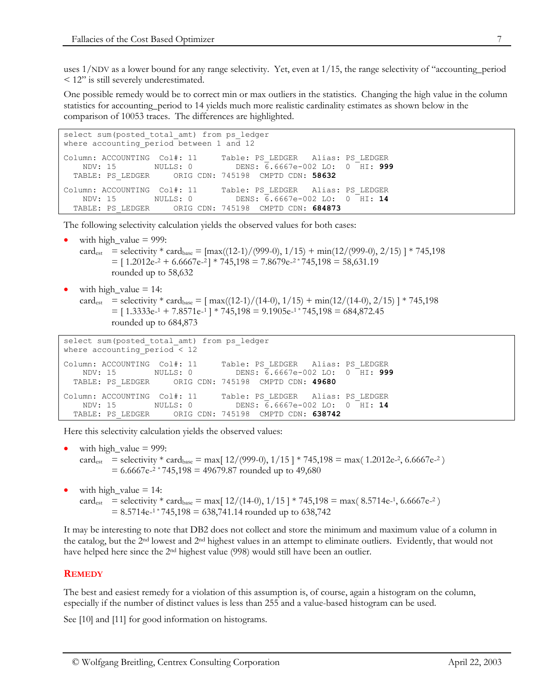uses 1/NDV as a lower bound for any range selectivity. Yet, even at 1/15, the range selectivity of "accounting\_period < 12" is still severely underestimated.

One possible remedy would be to correct min or max outliers in the statistics. Changing the high value in the column statistics for accounting\_period to 14 yields much more realistic cardinality estimates as shown below in the comparison of 10053 traces. The differences are highlighted.

```
select sum (posted total amt) from ps ledger
where accounting period between 1 and 12
Column: ACCOUNTING Col#: 11 Table: PS_LEDGER Alias: PS_LEDGER
 NDV: 15 NULLS: 0 DENS: 6.6667e-002 LO: 0 HI: 999
  TABLE: PS_LEDGER ORIG CDN: 745198 CMPTD CDN: 58632
Column: ACCOUNTING Col#: 11 Table: PS_LEDGER Alias: PS_LEDGER
   NDV: 15 NULLS: 0 DENS: 6.6667e-002 LO: 0 HI: 14
  TABLE: PS_LEDGER ORIG CDN: 745198 CMPTD CDN: 684873
```
The following selectivity calculation yields the observed values for both cases:

- with high value  $= 999$ :
- card<sub>est</sub> = selectivity \* card<sub>base</sub> =  $\frac{\text{max}}{(12-1)/(999-0)}, \frac{1}{15}$  +  $\frac{\text{min}}{(12/(999-0)}, \frac{2}{15})$  \* 745,198  $=$  [ 1.2012e<sup>-2</sup> + 6.6667e<sup>-2</sup> | \* 745,198 = 7.8679e<sup>-2</sup> \* 745,198 = 58,631.19 rounded up to 58,632
- with high value  $= 14$ :

card<sub>est</sub> = selectivity \* card<sub>base</sub> =  $\frac{max((12-1)/(14-0), 1/15) + min(12/(14-0), 2/15) + 745,198}{max(12-1)(14-0)}$  $=$  [ 1.3333e<sup>-1</sup> + 7.8571e<sup>-1</sup> ] \* 745,198 = 9.1905e<sup>-1</sup> \* 745,198 = 684,872.45 rounded up to 684,873

```
select sum (posted total amt) from ps ledger
where accounting period < 12
Column: ACCOUNTING Col#: 11 Table: PS_LEDGER Alias: PS_LEDGER
 NDV: 15 NULLS: 0 DENS: 6.6667e-002 LO: 0 HI: 999
  TABLE: PS_LEDGER ORIG CDN: 745198 CMPTD CDN: 49680
Column: ACCOUNTING Col#: 11 Table: PS_LEDGER Alias: PS_LEDGER
 NDV: 15 NULLS: 0 DENS: 6.6667e-002 LO: 0 HI: 14
  TABLE: PS_LEDGER ORIG CDN: 745198 CMPTD CDN: 638742
```
Here this selectivity calculation yields the observed values:

```
with high_value = 999:
card<sub>est</sub> = selectivity * card<sub>base</sub> = max\left[\frac{12}{999-0}, \frac{1}{15}\right] * 745,198 = max\left(\frac{1.2012e^{-2}}{6.6667e^{-2}}\right)= 6.6667e^{-2} * 745,198 = 49679.87 rounded up to 49,680
```
with high\_value  $= 14$ : card<sub>est</sub> = selectivity \* card<sub>base</sub> = max[  $12/(14-0)$ ,  $1/15$  ] \* 745,198 = max( 8.5714e-1, 6.6667e-2)  $= 8.5714e^{-1}$   $745,198 = 638,741.14$  rounded up to 638,742

It may be interesting to note that DB2 does not collect and store the minimum and maximum value of a column in the catalog, but the 2nd lowest and 2nd highest values in an attempt to eliminate outliers. Evidently, that would not have helped here since the 2nd highest value (998) would still have been an outlier.

## **REMEDY**

The best and easiest remedy for a violation of this assumption is, of course, again a histogram on the column, especially if the number of distinct values is less than 255 and a value-based histogram can be used.

See [10] and [11] for good information on histograms.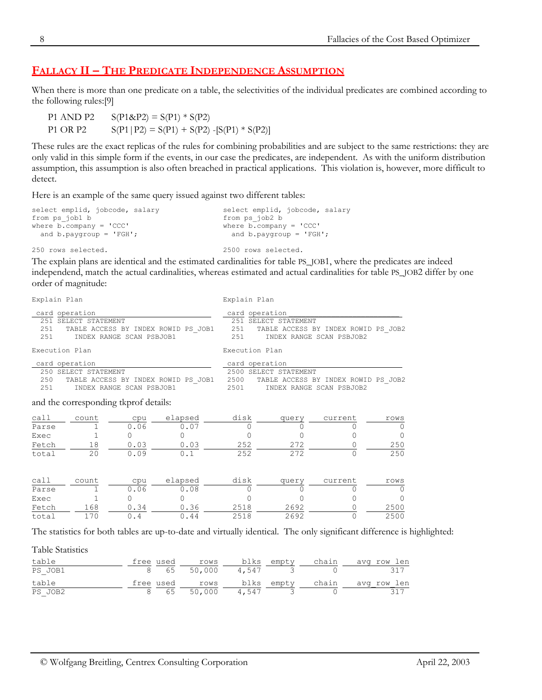# **FALLACY II – THE PREDICATE INDEPENDENCE ASSUMPTION**

When there is more than one predicate on a table, the selectivities of the individual predicates are combined according to the following rules:[9]

P1 AND P2  $S(P1 \& P2) = S(P1) * S(P2)$ P1 OR P2  $S(P1|P2) = S(P1) + S(P2) - [S(P1) * S(P2)]$ 

These rules are the exact replicas of the rules for combining probabilities and are subject to the same restrictions: they are only valid in this simple form if the events, in our case the predicates, are independent. As with the uniform distribution assumption, this assumption is also often breached in practical applications. This violation is, however, more difficult to detect.

Here is an example of the same query issued against two different tables:

| select emplid, jobcode, salary       | select emplid, jobcode, salary       |
|--------------------------------------|--------------------------------------|
| from ps job1 b                       | from ps job2 b                       |
| where $b$ . company = $\text{CCC}$ ' | where $b$ . company = $\text{CCC}$ ' |
| and $b$ . paygroup = $'FGH'$ ;       | and $b$ . paygroup = $'FGH'$ ;       |

250 rows selected.

2500 rows selected.

The explain plans are identical and the estimated cardinalities for table PS\_JOB1, where the predicates are indeed independend, match the actual cardinalities, whereas estimated and actual cardinalities for table PS\_JOB2 differ by one order of magnitude:

Explain Plan

Explain Plan

| card operation                 | 251 SELECT STATEMENT                       |                                       | 251 TABLE ACCESS BY INDEX ROWID PS_JOB1 251 TABLE ACCESS BY INDEX ROWID PS_JOB2 251 INDEX RANGE SCAN PSBJOB1 | card operation | 251 SELECT STATEMENT  |                               |                                |
|--------------------------------|--------------------------------------------|---------------------------------------|--------------------------------------------------------------------------------------------------------------|----------------|-----------------------|-------------------------------|--------------------------------|
| Execution Plan                 |                                            |                                       |                                                                                                              | Execution Plan |                       |                               |                                |
| card operation                 | 250 SELECT STATEMENT                       | 251 INDEX RANGE SCAN PSBJOB1          | 250 TABLE ACCESS BY INDEX ROWID PS JOB1 2500 TABLE ACCESS BY INDEX ROWID PS JOB2                             | card operation | 2500 SELECT STATEMENT | 2501 INDEX RANGE SCAN PSBJOB2 |                                |
|                                |                                            | and the corresponding tkprof details: |                                                                                                              |                |                       |                               |                                |
| Parse<br>Exec<br>total         | $1 \quad 1$<br>$\sim$ 1<br>$\overline{20}$ | $\Omega$<br>0.09                      | call count cpu elapsed disk query<br>$0.06$ 0.07<br>Fetch 18 0.03 0.03 252<br>0.1                            | 252            | 272<br>272            | current<br>0                  | rows<br>$\Omega$<br>250<br>250 |
| call<br>Parse<br>Exec<br>Fetch | count<br>168 0.34                          | 0.06                                  | cpu elapsed disk<br>0.08<br>$0.36$ 2518                                                                      |                | query<br>2692         | current<br>O                  | rows<br>$\Omega$<br>2500       |

The statistics for both tables are up-to-date and virtually identical. The only significant difference is highlighted:

Table Statistics

| table   |  |  |  | free used sows blks empty chain avg row len |
|---------|--|--|--|---------------------------------------------|
| PS JOB1 |  |  |  | 8 65 50,000 4,547 3 0 317                   |
| table   |  |  |  |                                             |
| PS JOB2 |  |  |  | 8 65 50,000 4,547 3 0 317                   |

total 170 0.4 0.44 2518 2692 0 2500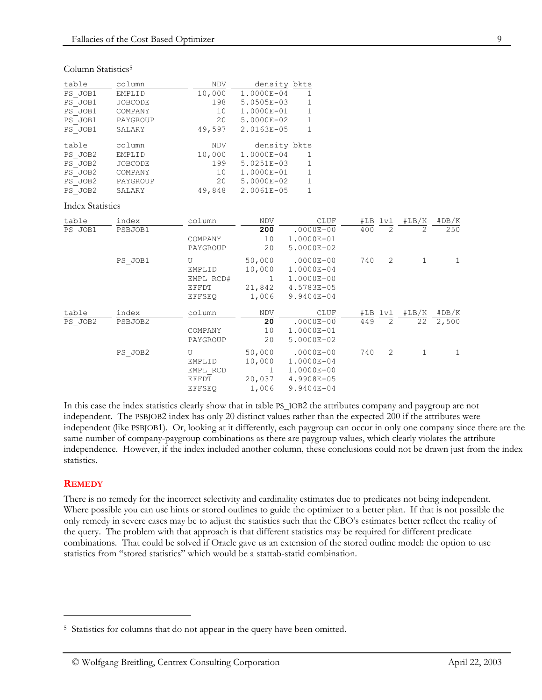#### Column Statistics<sup>5</sup>

| table   | column         | <b>NDV</b> | density bkts |              |
|---------|----------------|------------|--------------|--------------|
| PS JOB1 | EMPLID         | 10,000     | 1.0000E-04   | 1            |
| PS JOB1 | <b>JOBCODE</b> | 198        | 5.0505E-03   | $\mathbf{1}$ |
| PS JOB1 | COMPANY        | 10         | 1.0000E-01   | $\mathbf{1}$ |
| PS JOB1 | PAYGROUP       | 20         | 5.0000E-02   | $\mathbf{1}$ |
| PS JOB1 | SALARY         | 49,597     | 2.0163E-05   | $\mathbf{1}$ |
| table   | column         | <b>NDV</b> | density bkts |              |
| PS JOB2 | EMPLID         | 10,000     | 1.0000E-04   | 1            |
| PS JOB2 | <b>JOBCODE</b> | 199        | 5.0251E-03   | 1            |
| PS JOB2 | COMPANY        | 10         | 1.0000E-01   | $\mathbf{1}$ |
| PS JOB2 | PAYGROUP       | 20         | 5.0000E-02   | $\mathbf{1}$ |
|         |                |            |              |              |

#### Index Statistics

| table            | index            | column                                             | <b>NDV</b>                               | <b>CLUF</b>                                                           |     | #LB lvl        | #LB/K       | #DB/K          |
|------------------|------------------|----------------------------------------------------|------------------------------------------|-----------------------------------------------------------------------|-----|----------------|-------------|----------------|
| PS JOB1          | PSBJOB1          | COMPANY<br>PAYGROUP                                | 200<br>10<br>20                          | $.0000E + 00$<br>1.0000E-01<br>5.0000E-02                             | 400 | 2              | 2           | 250            |
|                  | PS JOB1          | U<br>EMPLID<br>EMPL RCD#<br>EFFDT<br><b>EFFSEO</b> | 50,000<br>10,000<br>1<br>21,842<br>1,006 | $.0000E + 00$<br>1.0000E-04<br>1.0000E+00<br>4.5783E-05<br>9.9404E-04 | 740 | 2              |             | 1              |
| table<br>PS JOB2 | index<br>PSBJOB2 | column<br>COMPANY<br>PAYGROUP                      | <b>NDV</b><br>20<br>10<br>20             | <b>CLUF</b><br>$.0000E + 00$<br>1.0000E-01<br>5.0000E-02              | 449 | #LB lvl<br>2   | #LB/K<br>22 | #DB/K<br>2,500 |
|                  | PS JOB2          | U<br>EMPLID<br>EMPL RCD<br>EFFDT<br><b>EFFSEO</b>  | 50,000<br>10,000<br>1<br>20,037<br>1,006 | $.0000E + 00$<br>1.0000E-04<br>1.0000E+00<br>4.9908E-05<br>9.9404E-04 | 740 | $\overline{2}$ | 1           | 1              |

In this case the index statistics clearly show that in table PS\_JOB2 the attributes company and paygroup are not independent. The PSBJOB2 index has only 20 distinct values rather than the expected 200 if the attributes were independent (like PSBJOB1). Or, looking at it differently, each paygroup can occur in only one company since there are the same number of company-paygroup combinations as there are paygroup values, which clearly violates the attribute independence. However, if the index included another column, these conclusions could not be drawn just from the index statistics.

#### **REMEDY**

 $\ddot{\phantom{a}}$ 

There is no remedy for the incorrect selectivity and cardinality estimates due to predicates not being independent. Where possible you can use hints or stored outlines to guide the optimizer to a better plan. If that is not possible the only remedy in severe cases may be to adjust the statistics such that the CBO's estimates better reflect the reality of the query. The problem with that approach is that different statistics may be required for different predicate combinations. That could be solved if Oracle gave us an extension of the stored outline model: the option to use statistics from "stored statistics" which would be a stattab-statid combination.

<span id="page-8-0"></span><sup>&</sup>lt;sup>5</sup> Statistics for columns that do not appear in the query have been omitted.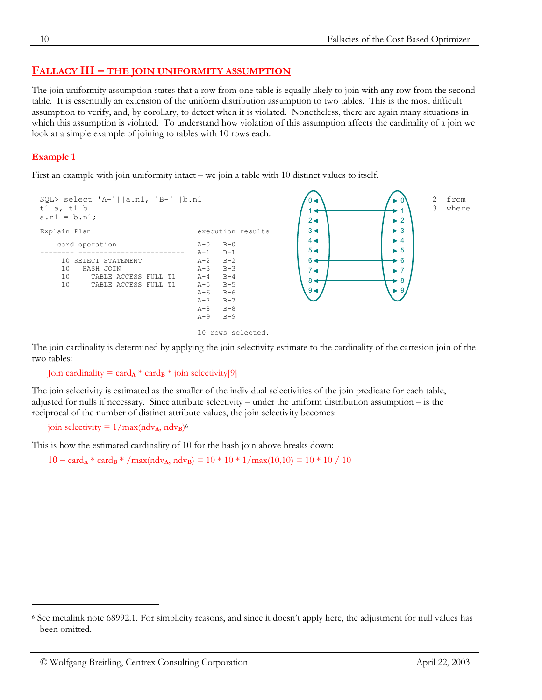# **FALLACY III – THE JOIN UNIFORMITY ASSUMPTION**

The join uniformity assumption states that a row from one table is equally likely to join with any row from the second table. It is essentially an extension of the uniform distribution assumption to two tables. This is the most difficult assumption to verify, and, by corollary, to detect when it is violated. Nonetheless, there are again many situations in which this assumption is violated. To understand how violation of this assumption affects the cardinality of a join we look at a simple example of joining to tables with 10 rows each.

## **Example 1**

 $\ddot{\phantom{a}}$ 

First an example with join uniformity intact – we join a table with 10 distinct values to itself.



```
10 rows selected.
```
The join cardinality is determined by applying the join selectivity estimate to the cardinality of the cartesion join of the two tables:

Join cardinality = card<sub>A</sub> \* card<sub>B</sub> \* join selectivity[9]

The join selectivity is estimated as the smaller of the individual selectivities of the join predicate for each table, adjusted for nulls if necessary. Since attribute selectivity – under the uniform distribution assumption – is the reciprocal of the number of distinct attribute values, the join selectivity becomes:

join selectivity =  $1/\text{max}(\text{ndv}_A, \text{ndv}_B)^6$ 

This is how the estimated cardinality of 10 for the hash join above breaks down:

 $10 = \text{card}_{\mathbf{A}} * \text{card}_{\mathbf{B}} * / \text{max}(\text{ndv}_{\mathbf{A}}, \text{ndv}_{\mathbf{B}}) = 10 * 10 * 1 / \text{max}(10,10) = 10 * 10 / 10$ 

<span id="page-9-0"></span><sup>6</sup> See metalink note 68992.1. For simplicity reasons, and since it doesn't apply here, the adjustment for null values has been omitted.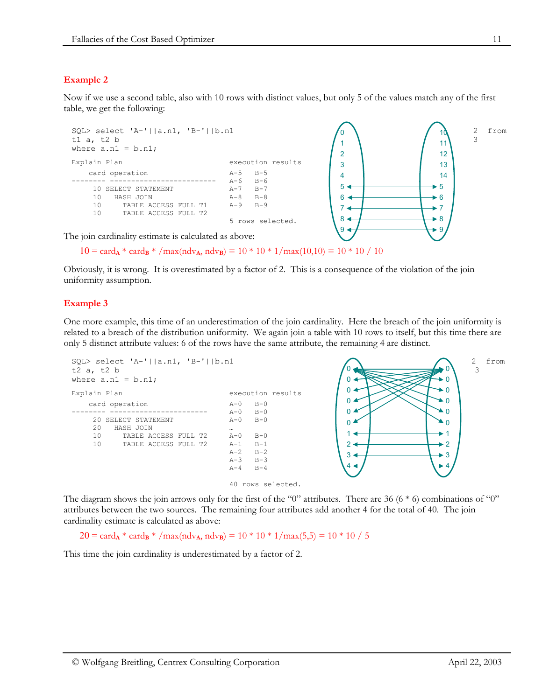# **Example 2**

Now if we use a second table, also with 10 rows with distinct values, but only 5 of the values match any of the first table, we get the following:



 $10 = \text{card}_{\mathbf{A}} * \text{card}_{\mathbf{B}} * / \text{max}(\text{ndv}_{\mathbf{A}}, \text{ndv}_{\mathbf{B}}) = 10 * 10 * 1 / \text{max}(10,10) = 10 * 10 / 10$ 

Obviously, it is wrong. It is overestimated by a factor of 2. This is a consequence of the violation of the join uniformity assumption.

## **Example 3**

One more example, this time of an underestimation of the join cardinality. Here the breach of the join uniformity is related to a breach of the distribution uniformity. We again join a table with 10 rows to itself, but this time there are only 5 distinct attribute values: 6 of the rows have the same attribute, the remaining 4 are distinct.



The diagram shows the join arrows only for the first of the "0" attributes. There are 36 (6  $*$  6) combinations of "0" attributes between the two sources. The remaining four attributes add another 4 for the total of 40. The join cardinality estimate is calculated as above:

 $20 = \text{card}_{\mathbf{A}} * \text{card}_{\mathbf{B}} * / \text{max}(\text{ndv}_{\mathbf{A}}, \text{ndv}_{\mathbf{B}}) = 10 * 10 * 1 / \text{max}(5,5) = 10 * 10 / 5$ 

This time the join cardinality is underestimated by a factor of 2.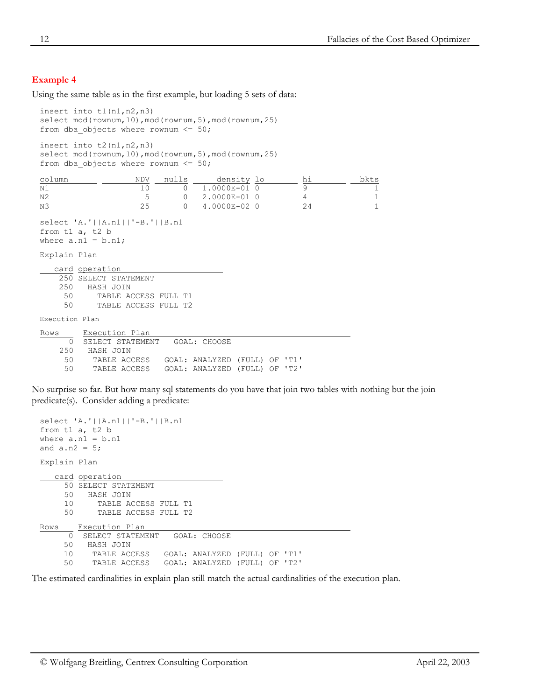## **Example 4**

Using the same table as in the first example, but loading 5 sets of data:

```
insert into t1(n1,n2,n3)
select mod(rownum,10),mod(rownum,5),mod(rownum,25)
from dba_objects where rownum <= 50;
insert into t2(n1,n2,n3)
select mod(rownum,10), mod(rownum,5), mod(rownum,25)
from dba objects where rownum \leq 50;
\frac{\text{column}}{\text{N1}} \frac{\text{NDV}}{10} \frac{\text{nulls}}{0} \frac{\text{density}}{1.0000E-01} \frac{\text{hi}}{0} \frac{\text{hi}}{9} \frac{\text{bkts}}{1}N1 10 0 1.0000E-01 0 9 1
N2 and N3 and N3 be the contract of the contract of the contract of the contract of the contract of the contract of the contract of the contract of the contract of the contract of the contract of the contract of the
N3 25 0 4.0000E-02 0
select 'A.'||A.n1||'-B.'||B.n1
from t1 a, t2 b
where a.n1 = b.n1;
Explain Plan
    card operation 
     250 SELECT STATEMENT<br>250 HASH JOIN
            250 HASH JOIN
       50 TABLE ACCESS FULL T1
       50 TABLE ACCESS FULL T2
Execution Plan
Rows Execution Plan 
        0 SELECT STATEMENT GOAL: CHOOSE
     250 HASH JOIN<br>50 TABLE ACCESS
       50 TABLE ACCESS GOAL: ANALYZED (FULL) OF 'T1'
                                50 TABLE ACCESS GOAL: ANALYZED (FULL) OF 'T2'
```
No surprise so far. But how many sql statements do you have that join two tables with nothing but the join predicate(s). Consider adding a predicate:

```
select 'A.'||A.n1||'-B.'||B.n1
from t1 a, t2 b
where a.n1 = b.n1and a.n2 = 5;
Explain Plan
    card operation 
      50 SELECT STATEMENT
      50 HASH JOIN
      10 TABLE ACCESS FULL T1
      50 TABLE ACCESS FULL T2
Rows Execution Plan
       0 SELECT STATEMENT GOAL: CHOOSE
      50 HASH JOIN
     10 TABLE ACCESS GOAL: ANALYZED (FULL) OF 'T1'<br>50 TABLE ACCESS GOAL: ANALYZED (FULL) OF 'T2'
            TABLE ACCESS GOAL: ANALYZED (FULL) OF 'T2'
```
The estimated cardinalities in explain plan still match the actual cardinalities of the execution plan.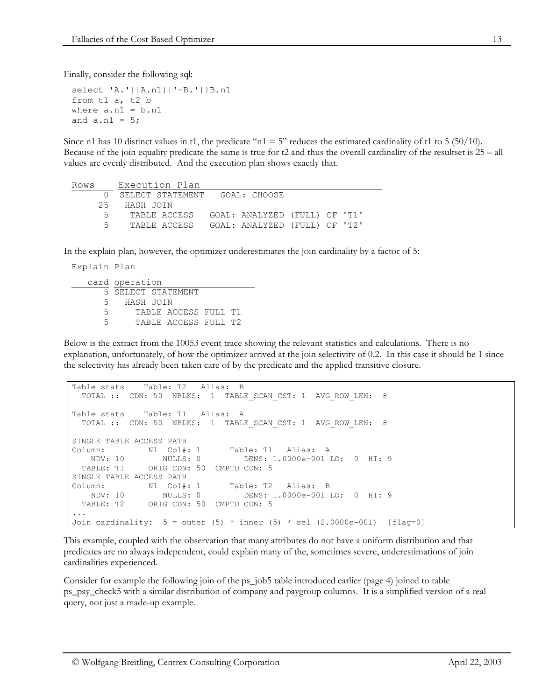Finally, consider the following sql:

```
select 'A.'||A.n1||'-B.'||B.n1
from t1 a, t2 b
where a.n1 = b.n1and a.n1 = 5;
```
Since n1 has 10 distinct values in t1, the predicate "n1 = 5" reduces the estimated cardinality of t1 to 5 (50/10). Because of the join equality predicate the same is true for  $t^2$  and thus the overall cardinality of the resultset is  $25 - \text{all}$ values are evenly distributed. And the execution plan shows exactly that.

```
Rows Execution Plan 
      0 SELECT STATEMENT GOAL: CHOOSE
     25 HASH JOIN
      5 TABLE ACCESS GOAL: ANALYZED (FULL) OF 'T1'
      5 TABLE ACCESS GOAL: ANALYZED (FULL) OF 'T2'
```
In the explain plan, however, the optimizer underestimates the join cardinality by a factor of 5:

```
Explain Plan
   card operation 
       5 SELECT STATEMENT
       5 HASH JOIN
       5 TABLE ACCESS FULL T1
       5 TABLE ACCESS FULL T2
```
Below is the extract from the 10053 event trace showing the relevant statistics and calculations. There is no explanation, unfortunately, of how the optimizer arrived at the join selectivity of 0.2. In this case it should be 1 since the selectivity has already been taken care of by the predicate and the applied transitive closure.

```
Table stats Table: T2 Alias: B
  TOTAL :: CDN: 50 NBLKS: 1 TABLE_SCAN_CST: 1 AVG_ROW_LEN: 8
Table stats Table: T1 Alias: A
  TOTAL :: CDN: 50 NBLKS: 1 TABLE_SCAN_CST: 1 AVG_ROW_LEN: 8
SINGLE TABLE ACCESS PATH
Column: N1 Col#: 1 Table: T1 Alias: A
                 NDV: 10 NULLS: 0 DENS: 1.0000e-001 LO: 0 HI: 9
  TABLE: T1 ORIG CDN: 50 CMPTD CDN: 5
SINGLE TABLE ACCESS PATH
Column: N1 Col#: 1 Table: T2 Alias: B<br>NDV: 10 NULLS: 0 DENS: 1.0000e-001 I
                                DENS: 1.0000e-001 LO: 0 HI: 9
 NDV: 10<br>TABLE: T2 ORIG CDN: 50 CMPTD CDN: 5
...
Join cardinality: 5 = outer (5) * inner (5) * sel (2.0000e-001) [flag=0]
```
This example, coupled with the observation that many attributes do not have a uniform distribution and that predicates are no always independent, could explain many of the, sometimes severe, underestimations of join cardinalities experienced.

Consider for example the following join of the ps\_job5 table introduced earlier (page [4\)](#page-3-1) joined to table ps\_pay\_check5 with a similar distribution of company and paygroup columns. It is a simplified version of a real query, not just a made-up example.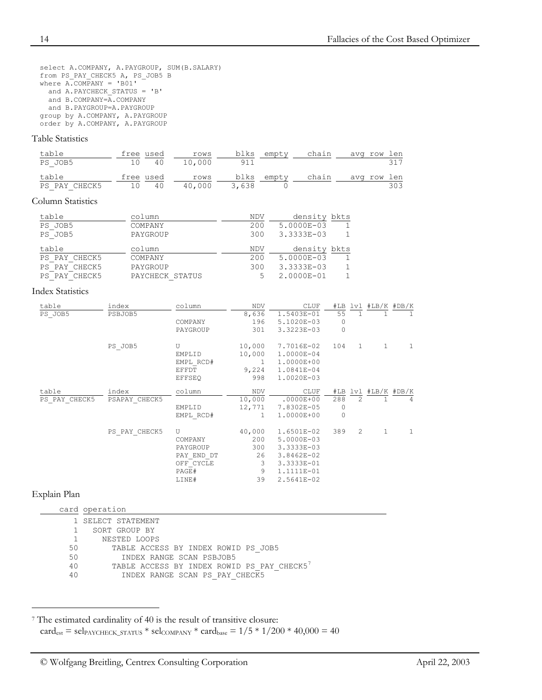select A.COMPANY, A.PAYGROUP, SUM(B.SALARY) from PS\_PAY\_CHECK5 A, PS\_JOB5 B where A.COMPANY = 'B01' and A.PAYCHECK\_STATUS = 'B' and B.COMPANY=A.COMPANY and B.PAYGROUP=A.PAYGROUP group by A.COMPANY, A.PAYGROUP order by A.COMPANY, A.PAYGROUP

#### Table Statistics

| table         | free used |       | rows   |       | blks empty | chain | avg row len |
|---------------|-----------|-------|--------|-------|------------|-------|-------------|
| PS JOB5       |           | 10 40 | 10,000 | 911   |            |       |             |
| table         | free used |       | rows   |       | blks empty | chain | avg row len |
| PS PAY CHECK5 | 10 40     |       | 40,000 | 3,638 |            |       | 303         |

#### Column Statistics

| table         | column          | NDV | density bkts |  |
|---------------|-----------------|-----|--------------|--|
| PS JOB5       | COMPANY         | 200 | 5.0000E-03   |  |
| PS JOB5       | PAYGROUP        | 300 | 3.3333E-03   |  |
| table         | column          | NDV | density bkts |  |
| PS PAY CHECK5 | COMPANY         | 200 | 5.0000E-03   |  |
| PS PAY CHECK5 | PAYGROUP        | 300 | 3.3333E-03   |  |
| PS PAY CHECK5 | PAYCHECK STATUS | 5   | 2.0000E-01   |  |

#### Index Statistics

| table         | index         | column     | NDV          | CLUF           | #LB     |              | $lv1$ #LB/K #DB/K |                |
|---------------|---------------|------------|--------------|----------------|---------|--------------|-------------------|----------------|
| PS JOB5       | PSBJOB5       |            | 8,636        | 1.5403E-01     | 55      | 1            |                   | 1              |
|               |               | COMPANY    | 196          | 5.1020E-03     | $\circ$ |              |                   |                |
|               |               | PAYGROUP   | 301          | 3.3223E-03     | $\circ$ |              |                   |                |
|               | PS JOB5       | U          | 10,000       | 7.7016E-02     | 104     | $\mathbf{1}$ | 1                 | 1              |
|               |               | EMPLID     | 10,000       | 1.0000E-04     |         |              |                   |                |
|               |               | EMPL RCD#  | $\mathbf{1}$ | 1.0000E+00     |         |              |                   |                |
|               |               | EFFDT      | 9,224        | 1.0841E-04     |         |              |                   |                |
|               |               | EFFSEO     | 998          | 1.0020E-03     |         |              |                   |                |
| table         | index         | column     | NDV          | CLUF           | #LB     |              | $lv1$ #LB/K #DB/K |                |
| PS PAY CHECK5 | PSAPAY CHECK5 |            | 10,000       | $.0000E + 00$  | 288     | 2            |                   | $\overline{4}$ |
|               |               | EMPLID     | 12,771       | 7.8302E-05     | $\circ$ |              |                   |                |
|               |               | EMPL RCD#  | $\mathbf{1}$ | 1.0000E+00     | $\circ$ |              |                   |                |
|               | PS PAY CHECK5 | U          | 40,000       | $1.6501E-02$   | 389     | 2            | 1                 | 1              |
|               |               | COMPANY    | 200          | 5.0000E-03     |         |              |                   |                |
|               |               | PAYGROUP   | 300          | 3.3333E-03     |         |              |                   |                |
|               |               | PAY END DT | 26           | $3.8462E - 02$ |         |              |                   |                |
|               |               | OFF CYCLE  | 3            | 3.3333E-01     |         |              |                   |                |
|               |               | PAGE#      | 9            | 1.1111E-01     |         |              |                   |                |
|               |               | LINE#      | 39           | 2.5641E-02     |         |              |                   |                |

## Explain Plan

 $\overline{a}$ 

|    | card operation                             |
|----|--------------------------------------------|
|    | 1 SELECT STATEMENT                         |
|    | SORT GROUP BY                              |
|    | NESTED LOOPS                               |
| 50 | TABLE ACCESS BY INDEX ROWID PS JOB5        |
| 50 | INDEX RANGE SCAN PSBJOB5                   |
| 40 | TABLE ACCESS BY INDEX ROWID PS PAY CHECK5' |
| 40 | INDEX RANGE SCAN PS PAY CHECK5             |

<span id="page-13-0"></span><sup>7</sup> The estimated cardinality of 40 is the result of transitive closure:  $card_{est} = sel_{PAYCHECK\_STATUS} * sel_{COMPANY} * card_{base} = 1/5 * 1/200 * 40,000 = 40$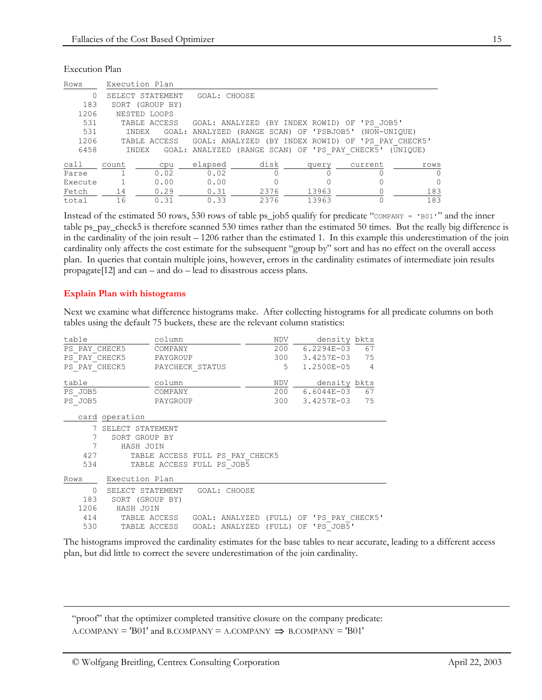| Rows    |                 | Execution Plan   |              |      |                                                |                                                       |          |
|---------|-----------------|------------------|--------------|------|------------------------------------------------|-------------------------------------------------------|----------|
| 0       |                 | SELECT STATEMENT | GOAL: CHOOSE |      |                                                |                                                       |          |
| 183     | SORT (GROUP BY) |                  |              |      |                                                |                                                       |          |
| 1206    |                 | NESTED LOOPS     |              |      |                                                |                                                       |          |
| 531     |                 | TABLE ACCESS     |              |      |                                                | GOAL: ANALYZED (BY INDEX ROWID) OF 'PS JOB5'          |          |
| 531     |                 | INDEX            |              |      |                                                | GOAL: ANALYZED (RANGE SCAN) OF 'PSBJOB5' (NON-UNIOUE) |          |
| 1206    |                 | TABLE ACCESS     |              |      |                                                | GOAL: ANALYZED (BY INDEX ROWID) OF 'PS PAY CHECK5'    |          |
| 6458    |                 | <b>INDEX</b>     |              |      | GOAL: ANALYZED (RANGE SCAN) OF 'PS PAY CHECK5' |                                                       | (UNIOUE) |
| call    | count           | cpu              | elapsed      | disk | query                                          | current                                               | rows     |
| Parse   |                 | 0.02             | 0.02         |      |                                                |                                                       | $\Omega$ |
| Execute |                 | 0.00             | 0.00         |      |                                                |                                                       | 0        |
| Fetch   | 14              | 0.29             | 0.31         | 2376 | 13963                                          |                                                       | 183      |
| total   | 16              | 0.31             | 0.33         | 2376 | 13963                                          |                                                       | 183      |

Execution Plan

Instead of the estimated 50 rows, 530 rows of table ps\_job5 qualify for predicate "COMPANY = 'B01'" and the inner table ps\_pay\_check5 is therefore scanned 530 times rather than the estimated 50 times. But the really big difference is in the cardinality of the join result – 1206 rather than the estimated 1. In this example this underestimation of the join cardinality only affects the cost estimate for the subsequent "group by" sort and has no effect on the overall access plan. In queries that contain multiple joins, however, errors in the cardinality estimates of intermediate join results propagate[12] and can – and do – lead to disastrous access plans.

### **Explain Plan with histograms**

 $\overline{a}$ 

Next we examine what difference histograms make. After collecting histograms for all predicate columns on both tables using the default 75 buckets, these are the relevant column statistics:

| table         |                                                             | column          |  |                                                       | <b>NDV</b> |  | density bkts   |                |
|---------------|-------------------------------------------------------------|-----------------|--|-------------------------------------------------------|------------|--|----------------|----------------|
|               | PS PAY CHECK5<br>COMPANY                                    |                 |  |                                                       |            |  | 200 6.2294E-03 | 67             |
| PS PAY CHECK5 |                                                             | PAYGROUP        |  |                                                       | 300        |  | 3.4257E-03     | 75             |
| PS PAY CHECK5 |                                                             | PAYCHECK STATUS |  |                                                       | 5          |  | $1.2500E - 05$ | $\overline{4}$ |
| table         |                                                             | column          |  |                                                       | NDV        |  | density bkts   |                |
| PS JOB5       |                                                             | COMPANY         |  |                                                       | 200        |  | 6.6044E-03     | 67             |
| PS JOB5       | PAYGROUP                                                    |                 |  |                                                       | 300        |  | 3.4257E-03     | 75             |
|               | card operation                                              |                 |  |                                                       |            |  |                |                |
| 7             | SELECT STATEMENT                                            |                 |  |                                                       |            |  |                |                |
| 7             | SORT GROUP BY                                               |                 |  |                                                       |            |  |                |                |
| 7             | HASH JOIN                                                   |                 |  |                                                       |            |  |                |                |
| 427           | TABLE ACCESS FULL PS PAY CHECK5                             |                 |  |                                                       |            |  |                |                |
| 534           | TABLE ACCESS FULL PS JOB5                                   |                 |  |                                                       |            |  |                |                |
| Rows          | Execution Plan                                              |                 |  |                                                       |            |  |                |                |
| $\Omega$      | SELECT STATEMENT                                            |                 |  | GOAL: CHOOSE                                          |            |  |                |                |
| 183           | SORT (GROUP BY)                                             |                 |  |                                                       |            |  |                |                |
| 1206          | HASH JOIN                                                   |                 |  |                                                       |            |  |                |                |
| 414           |                                                             |                 |  | TABLE ACCESS GOAL: ANALYZED (FULL) OF 'PS PAY CHECK5' |            |  |                |                |
| 530           | 'PS JOB5'<br>(FULL)<br>TABLE ACCESS<br>GOAL: ANALYZED<br>OF |                 |  |                                                       |            |  |                |                |
|               |                                                             |                 |  |                                                       |            |  |                |                |

The histograms improved the cardinality estimates for the base tables to near accurate, leading to a different access plan, but did little to correct the severe underestimation of the join cardinality.

"proof" that the optimizer completed transitive closure on the company predicate:  $A$ .COMPANY = 'B01' and B.COMPANY =  $A$ .COMPANY  $\Rightarrow$  B.COMPANY = 'B01'